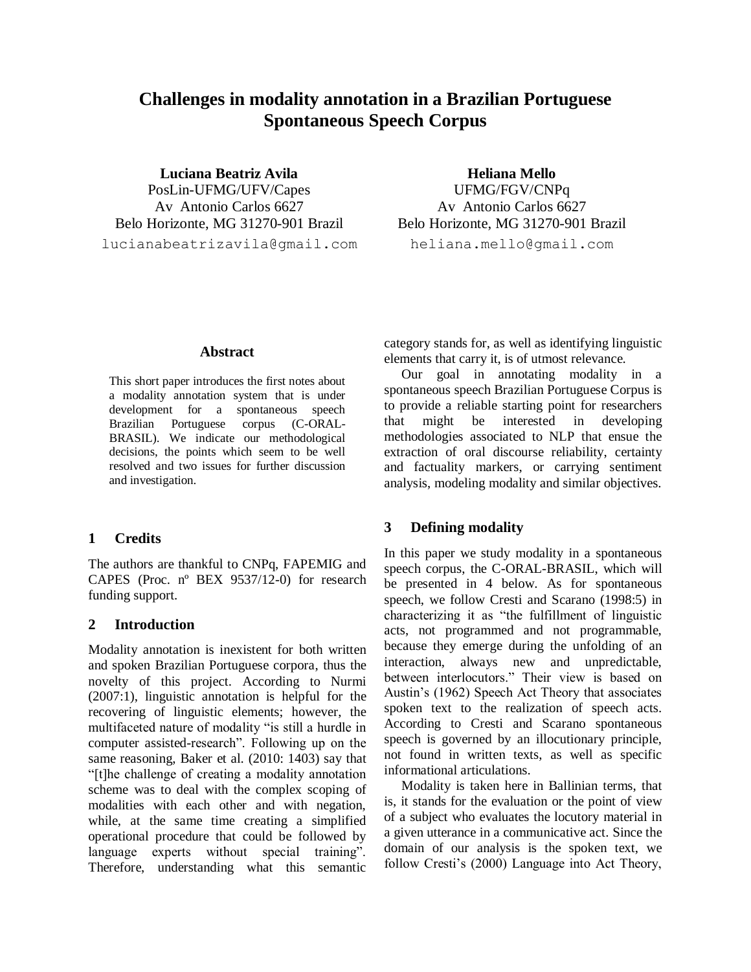# **Challenges in modality annotation in a Brazilian Portuguese Spontaneous Speech Corpus**

**Luciana Beatriz Avila** PosLin-UFMG/UFV/Capes Av Antonio Carlos 6627 Belo Horizonte, MG 31270-901 Brazil lucianabeatrizavila@qmail.com

**Heliana Mello** UFMG/FGV/CNPq Av Antonio Carlos 6627 Belo Horizonte, MG 31270-901 Brazil heliana.mello@qmail.com

### **Abstract**

This short paper introduces the first notes about a modality annotation system that is under development for a spontaneous speech Brazilian Portuguese corpus (C-ORAL-BRASIL). We indicate our methodological decisions, the points which seem to be well resolved and two issues for further discussion and investigation.

### **1 Credits**

The authors are thankful to CNPq, FAPEMIG and CAPES (Proc. nº BEX 9537/12-0) for research funding support.

### **2 Introduction**

Modality annotation is inexistent for both written and spoken Brazilian Portuguese corpora, thus the novelty of this project. According to Nurmi (2007:1), linguistic annotation is helpful for the recovering of linguistic elements; however, the multifaceted nature of modality "is still a hurdle in computer assisted-research". Following up on the same reasoning, Baker et al. (2010: 1403) say that "[t]he challenge of creating a modality annotation scheme was to deal with the complex scoping of modalities with each other and with negation, while, at the same time creating a simplified operational procedure that could be followed by language experts without special training". Therefore, understanding what this semantic category stands for, as well as identifying linguistic elements that carry it, is of utmost relevance.

Our goal in annotating modality in a spontaneous speech Brazilian Portuguese Corpus is to provide a reliable starting point for researchers that might be interested in developing methodologies associated to NLP that ensue the extraction of oral discourse reliability, certainty and factuality markers, or carrying sentiment analysis, modeling modality and similar objectives.

### **3 Defining modality**

In this paper we study modality in a spontaneous speech corpus, the C-ORAL-BRASIL, which will be presented in 4 below. As for spontaneous speech, we follow Cresti and Scarano (1998:5) in characterizing it as "the fulfillment of linguistic acts, not programmed and not programmable, because they emerge during the unfolding of an interaction, always new and unpredictable, between interlocutors." Their view is based on Austin's (1962) Speech Act Theory that associates spoken text to the realization of speech acts. According to Cresti and Scarano spontaneous speech is governed by an illocutionary principle, not found in written texts, as well as specific informational articulations.

Modality is taken here in Ballinian terms, that is, it stands for the evaluation or the point of view of a subject who evaluates the locutory material in a given utterance in a communicative act. Since the domain of our analysis is the spoken text, we follow Cresti's (2000) Language into Act Theory,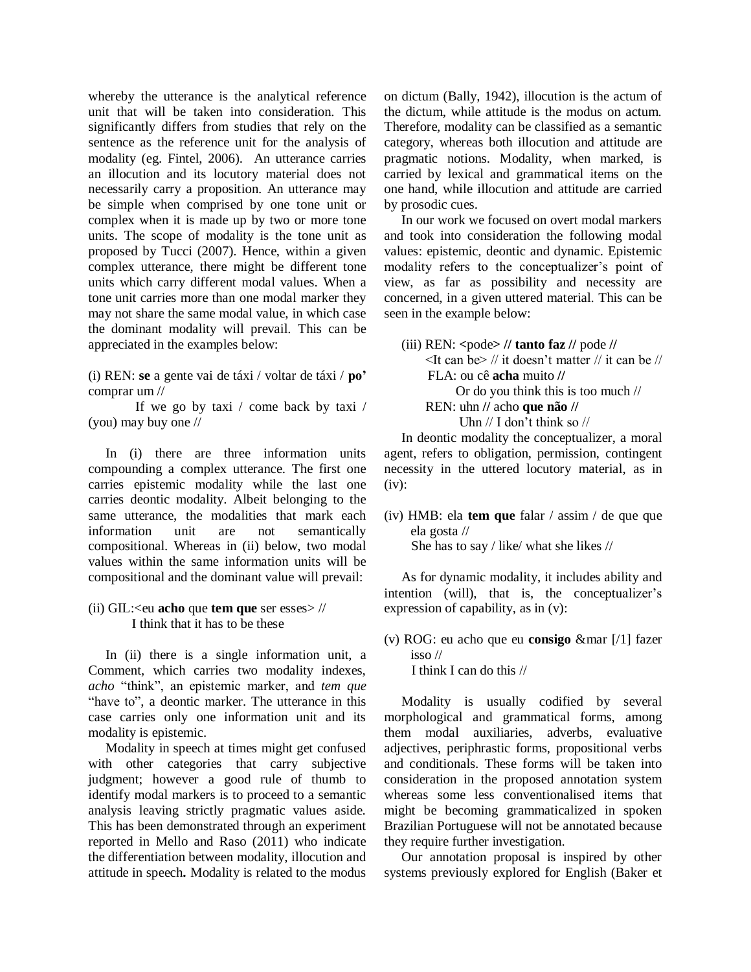whereby the utterance is the analytical reference unit that will be taken into consideration. This significantly differs from studies that rely on the sentence as the reference unit for the analysis of modality (eg. Fintel, 2006). An utterance carries an illocution and its locutory material does not necessarily carry a proposition. An utterance may be simple when comprised by one tone unit or complex when it is made up by two or more tone units. The scope of modality is the tone unit as proposed by Tucci (2007). Hence, within a given complex utterance, there might be different tone units which carry different modal values. When a tone unit carries more than one modal marker they may not share the same modal value, in which case the dominant modality will prevail. This can be appreciated in the examples below:

(i) REN: **se** a gente vai de táxi / voltar de táxi / **po'** comprar um //

If we go by taxi / come back by taxi / (you) may buy one //

In (i) there are three information units compounding a complex utterance. The first one carries epistemic modality while the last one carries deontic modality. Albeit belonging to the same utterance, the modalities that mark each information unit are not semantically compositional. Whereas in (ii) below, two modal values within the same information units will be compositional and the dominant value will prevail:

## (ii) GIL:<eu **acho** que **tem que** ser esses> // I think that it has to be these

In (ii) there is a single information unit, a Comment, which carries two modality indexes, *acho* "think", an epistemic marker, and *tem que* "have to", a deontic marker. The utterance in this case carries only one information unit and its modality is epistemic.

Modality in speech at times might get confused with other categories that carry subjective judgment; however a good rule of thumb to identify modal markers is to proceed to a semantic analysis leaving strictly pragmatic values aside. This has been demonstrated through an experiment reported in Mello and Raso (2011) who indicate the differentiation between modality, illocution and attitude in speech**.** Modality is related to the modus on dictum (Bally, 1942), illocution is the actum of the dictum, while attitude is the modus on actum. Therefore, modality can be classified as a semantic category, whereas both illocution and attitude are pragmatic notions. Modality, when marked, is carried by lexical and grammatical items on the one hand, while illocution and attitude are carried by prosodic cues.

In our work we focused on overt modal markers and took into consideration the following modal values: epistemic, deontic and dynamic. Epistemic modality refers to the conceptualizer's point of view, as far as possibility and necessity are concerned, in a given uttered material. This can be seen in the example below:

(iii) REN: **<**pode**> // tanto faz //** pode **//**  $\leq$ It can be $\geq$  // it doesn't matter // it can be // FLA: ou cê **acha** muito **//** Or do you think this is too much // REN: uhn **//** acho **que não //**  *Uhn*  $//$  **I** don't think so  $//$ 

In deontic modality the conceptualizer, a moral agent, refers to obligation, permission, contingent necessity in the uttered locutory material, as in  $(iv):$ 

(iv) HMB: ela **tem que** falar / assim / de que que ela gosta // She has to say / like/ what she likes //

As for dynamic modality, it includes ability and intention (will), that is, the conceptualizer's expression of capability, as in (v):

(v) ROG: eu acho que eu **consigo** &mar [/1] fazer isso // I think I can do this //

Modality is usually codified by several morphological and grammatical forms, among them modal auxiliaries, adverbs, evaluative adjectives, periphrastic forms, propositional verbs and conditionals. These forms will be taken into consideration in the proposed annotation system whereas some less conventionalised items that might be becoming grammaticalized in spoken Brazilian Portuguese will not be annotated because they require further investigation.

Our annotation proposal is inspired by other systems previously explored for English (Baker et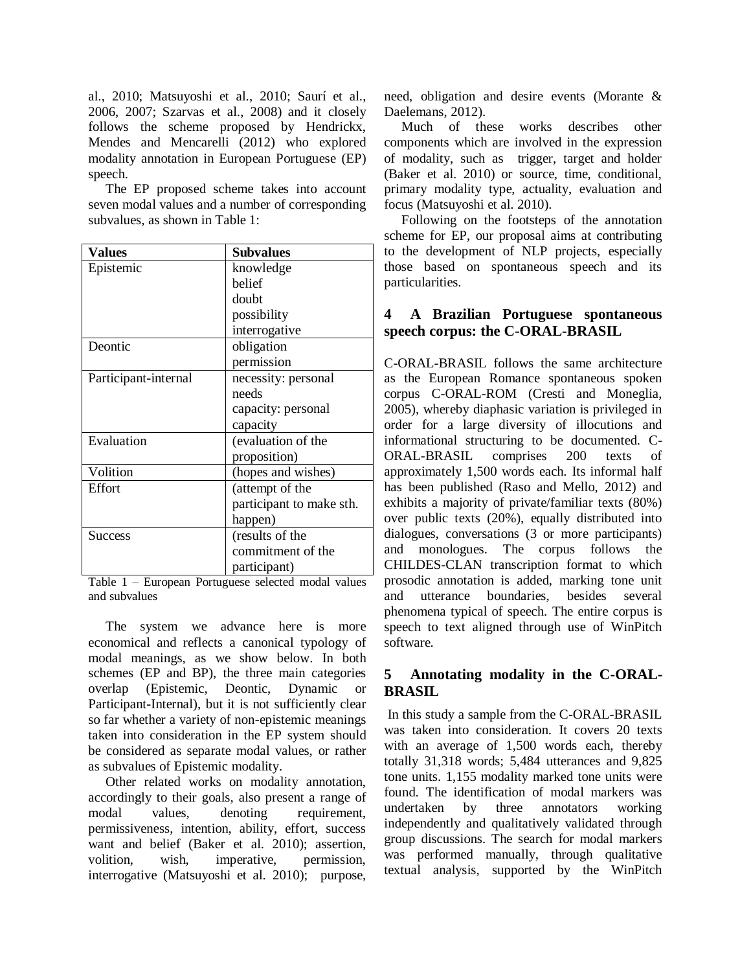al., 2010; Matsuyoshi et al., 2010; Saurí et al., 2006, 2007; Szarvas et al., 2008) and it closely follows the scheme proposed by Hendrickx, Mendes and Mencarelli (2012) who explored modality annotation in European Portuguese (EP) speech.

The EP proposed scheme takes into account seven modal values and a number of corresponding subvalues, as shown in Table 1:

| <b>Values</b>        | <b>Subvalues</b>         |
|----------------------|--------------------------|
| Epistemic            | knowledge                |
|                      | belief                   |
|                      | doubt                    |
|                      | possibility              |
|                      | interrogative            |
| Deontic              | obligation               |
|                      | permission               |
| Participant-internal | necessity: personal      |
|                      | needs                    |
|                      | capacity: personal       |
|                      | capacity                 |
| Evaluation           | (evaluation of the       |
|                      | proposition)             |
| Volition             | (hopes and wishes)       |
| Effort               | (attempt of the          |
|                      | participant to make sth. |
|                      | happen)                  |
| <b>Success</b>       | (results of the          |
|                      | commitment of the        |
|                      | participant)             |

Table 1 – European Portuguese selected modal values and subvalues

The system we advance here is more economical and reflects a canonical typology of modal meanings, as we show below. In both schemes (EP and BP), the three main categories overlap (Epistemic, Deontic, Dynamic or Participant-Internal), but it is not sufficiently clear so far whether a variety of non-epistemic meanings taken into consideration in the EP system should be considered as separate modal values, or rather as subvalues of Epistemic modality.

Other related works on modality annotation, accordingly to their goals, also present a range of modal values, denoting requirement, permissiveness, intention, ability, effort, success want and belief (Baker et al. 2010); assertion, volition, wish, imperative, permission, interrogative (Matsuyoshi et al. 2010); purpose,

need, obligation and desire events (Morante & Daelemans, 2012).

Much of these works describes other components which are involved in the expression of modality, such as trigger, target and holder (Baker et al. 2010) or source, time, conditional, primary modality type, actuality, evaluation and focus (Matsuyoshi et al. 2010).

Following on the footsteps of the annotation scheme for EP, our proposal aims at contributing to the development of NLP projects, especially those based on spontaneous speech and its particularities.

# **4 A Brazilian Portuguese spontaneous speech corpus: the C-ORAL-BRASIL**

C-ORAL-BRASIL follows the same architecture as the European Romance spontaneous spoken corpus C-ORAL-ROM (Cresti and Moneglia, 2005), whereby diaphasic variation is privileged in order for a large diversity of illocutions and informational structuring to be documented. C-ORAL-BRASIL comprises 200 texts of approximately 1,500 words each. Its informal half has been published (Raso and Mello, 2012) and exhibits a majority of private/familiar texts (80%) over public texts (20%), equally distributed into dialogues, conversations (3 or more participants) and monologues. The corpus follows the CHILDES-CLAN transcription format to which prosodic annotation is added, marking tone unit and utterance boundaries, besides several phenomena typical of speech. The entire corpus is speech to text aligned through use of WinPitch software.

# **5 Annotating modality in the C-ORAL-BRASIL**

In this study a sample from the C-ORAL-BRASIL was taken into consideration. It covers 20 texts with an average of 1,500 words each, thereby totally 31,318 words; 5,484 utterances and 9,825 tone units. 1,155 modality marked tone units were found. The identification of modal markers was undertaken by three annotators working independently and qualitatively validated through group discussions. The search for modal markers was performed manually, through qualitative textual analysis, supported by the WinPitch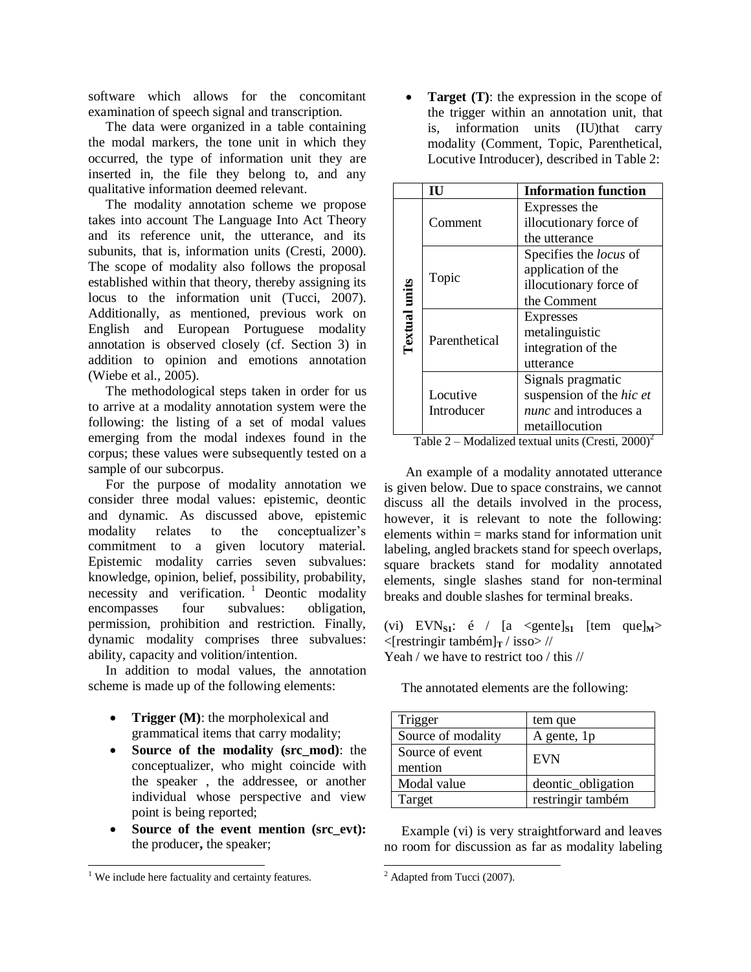software which allows for the concomitant examination of speech signal and transcription.

The data were organized in a table containing the modal markers, the tone unit in which they occurred, the type of information unit they are inserted in, the file they belong to, and any qualitative information deemed relevant.

The modality annotation scheme we propose takes into account The Language Into Act Theory and its reference unit, the utterance, and its subunits, that is, information units (Cresti, 2000). The scope of modality also follows the proposal established within that theory, thereby assigning its locus to the information unit (Tucci, 2007). Additionally, as mentioned, previous work on English and European Portuguese modality annotation is observed closely (cf. Section 3) in addition to opinion and emotions annotation (Wiebe et al., 2005).

The methodological steps taken in order for us to arrive at a modality annotation system were the following: the listing of a set of modal values emerging from the modal indexes found in the corpus; these values were subsequently tested on a sample of our subcorpus.

For the purpose of modality annotation we consider three modal values: epistemic, deontic and dynamic. As discussed above, epistemic modality relates to the conceptualizer's commitment to a given locutory material. Epistemic modality carries seven subvalues: knowledge, opinion, belief, possibility, probability, necessity and verification. <sup>1</sup> Deontic modality encompasses four subvalues: obligation, permission, prohibition and restriction. Finally, dynamic modality comprises three subvalues: ability, capacity and volition/intention.

In addition to modal values, the annotation scheme is made up of the following elements:

- **Trigger (M)**: the morpholexical and grammatical items that carry modality;
- **Source of the modality (src\_mod)**: the conceptualizer, who might coincide with the speaker , the addressee, or another individual whose perspective and view point is being reported;
- **Source of the event mention (src\_evt):** the producer**,** the speaker;

 $\overline{a}$ 

• **Target (T)**: the expression in the scope of the trigger within an annotation unit, that is, information units (IU)that carry modality (Comment, Topic, Parenthetical, Locutive Introducer), described in Table 2:

|                      | Ш             | <b>Information function</b>   |
|----------------------|---------------|-------------------------------|
|                      |               | Expresses the                 |
|                      | Comment       | illocutionary force of        |
|                      |               | the utterance                 |
|                      | Topic         | Specifies the <i>locus</i> of |
|                      |               | application of the            |
|                      |               | illocutionary force of        |
|                      |               | the Comment                   |
| <b>Textual units</b> | Parenthetical | <b>Expresses</b>              |
|                      |               | metalinguistic                |
|                      |               | integration of the            |
|                      |               | utterance                     |
|                      |               | Signals pragmatic             |
|                      | Locutive      | suspension of the hic et      |
|                      | Introducer    | <i>nunc</i> and introduces a  |
|                      |               | metaillocution                |

Table 2 – Modalized textual units (Cresti,  $2000$ )<sup>2</sup>

An example of a modality annotated utterance is given below. Due to space constrains, we cannot discuss all the details involved in the process, however, it is relevant to note the following: elements within = marks stand for information unit labeling, angled brackets stand for speech overlaps, square brackets stand for modality annotated elements, single slashes stand for non-terminal breaks and double slashes for terminal breaks.

(vi) EVN<sub>S1</sub>: é / [a <gente]<sub>S1</sub> [tem que]<sub>M</sub>>  $\langle$ [restringir também]<sub>T</sub> / isso> //

Yeah / we have to restrict too / this //

The annotated elements are the following:

| Trigger                    | tem que            |
|----------------------------|--------------------|
| Source of modality         | A gente, 1p        |
| Source of event<br>mention | <b>EVN</b>         |
| Modal value                | deontic_obligation |
| Target                     | restringir também  |

Example (vi) is very straightforward and leaves no room for discussion as far as modality labeling

l

 $1$  We include here factuality and certainty features.

 $2$  Adapted from Tucci (2007).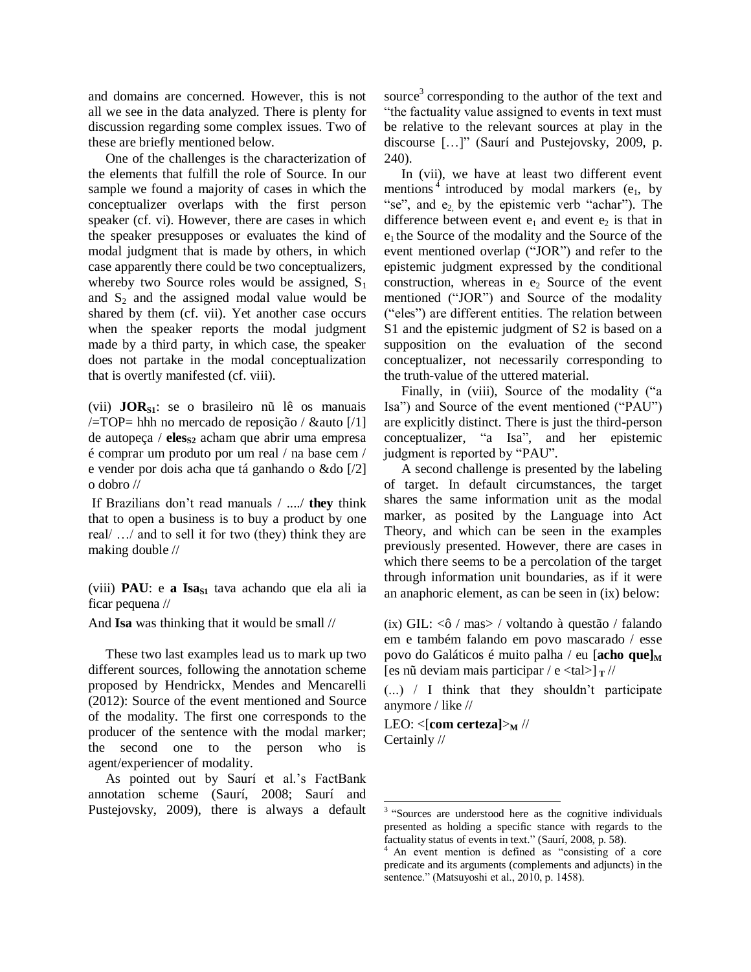and domains are concerned. However, this is not all we see in the data analyzed. There is plenty for discussion regarding some complex issues. Two of these are briefly mentioned below.

One of the challenges is the characterization of the elements that fulfill the role of Source. In our sample we found a majority of cases in which the conceptualizer overlaps with the first person speaker (cf. vi). However, there are cases in which the speaker presupposes or evaluates the kind of modal judgment that is made by others, in which case apparently there could be two conceptualizers, whereby two Source roles would be assigned,  $S_1$ and  $S_2$  and the assigned modal value would be shared by them (cf. vii). Yet another case occurs when the speaker reports the modal judgment made by a third party, in which case, the speaker does not partake in the modal conceptualization that is overtly manifested (cf. viii).

(vii) **JORS1**: se o brasileiro nũ lê os manuais  $\sqrt{\text{FTOP}}$ = hhh no mercado de reposição / & auto [/1] de autopeça / **eles**<sub>S2</sub> acham que abrir uma empresa é comprar um produto por um real / na base cem / e vender por dois acha que tá ganhando o &do [/2] o dobro //

If Brazilians don't read manuals / ..../ **they** think that to open a business is to buy a product by one real/ …/ and to sell it for two (they) think they are making double //

(viii) **PAU**: e **a Isa**<sub> $S1$ </sub> tava achando que ela ali ia ficar pequena //

And **Isa** was thinking that it would be small //

These two last examples lead us to mark up two different sources, following the annotation scheme proposed by Hendrickx, Mendes and Mencarelli (2012): Source of the event mentioned and Source of the modality. The first one corresponds to the producer of the sentence with the modal marker; the second one to the person who is agent/experiencer of modality.

As pointed out by Saurí et al.'s FactBank annotation scheme (Saurí, 2008; Saurí and Pustejovsky, 2009), there is always a default

source<sup>3</sup> corresponding to the author of the text and "the factuality value assigned to events in text must be relative to the relevant sources at play in the discourse […]" (Saurí and Pustejovsky, 2009, p. 240).

In (vii), we have at least two different event mentions<sup>4</sup> introduced by modal markers  $(e_1, b_1)$ "se", and e<sub>2</sub> by the epistemic verb "achar"). The difference between event  $e_1$  and event  $e_2$  is that in  $e_1$  the Source of the modality and the Source of the event mentioned overlap ("JOR") and refer to the epistemic judgment expressed by the conditional construction, whereas in  $e_2$  Source of the event mentioned ("JOR") and Source of the modality ("eles") are different entities. The relation between S1 and the epistemic judgment of S2 is based on a supposition on the evaluation of the second conceptualizer, not necessarily corresponding to the truth-value of the uttered material.

Finally, in (viii), Source of the modality ("a Isa") and Source of the event mentioned ("PAU") are explicitly distinct. There is just the third-person conceptualizer, "a Isa", and her epistemic judgment is reported by "PAU".

A second challenge is presented by the labeling of target. In default circumstances, the target shares the same information unit as the modal marker, as posited by the Language into Act Theory, and which can be seen in the examples previously presented. However, there are cases in which there seems to be a percolation of the target through information unit boundaries, as if it were an anaphoric element, as can be seen in (ix) below:

(ix) GIL: <ô / mas> / voltando à questão / falando em e também falando em povo mascarado / esse povo do Galáticos é muito palha / eu [**acho que]<sup>M</sup>** [es nũ deviam mais participar / e  $lta$  al>]  $\frac{1}{r}$  //

(...) / I think that they shouldn't participate anymore / like //

LEO:  $\langle$ [com certeza] $\rangle$ <sub>M</sub> // Certainly //

 3 "Sources are understood here as the cognitive individuals presented as holding a specific stance with regards to the factuality status of events in text." (Saurí, 2008, p. 58).

An event mention is defined as "consisting of a core predicate and its arguments (complements and adjuncts) in the sentence." (Matsuyoshi et al., 2010, p. 1458).